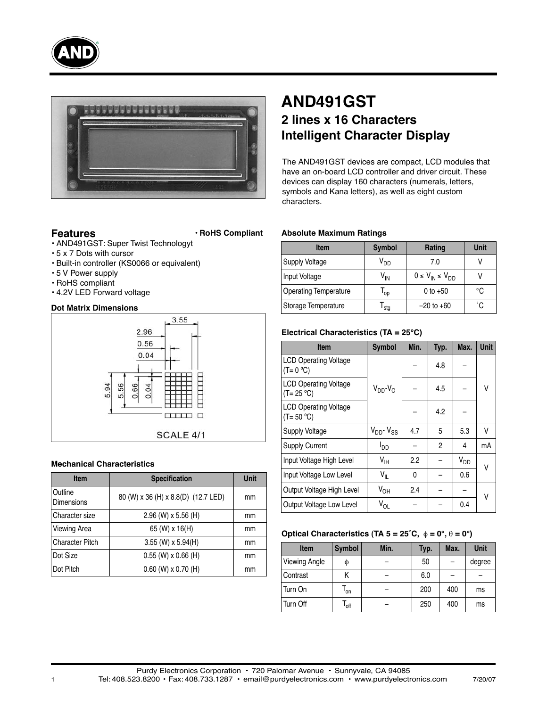



# **Features**

# **• RoHS Compliant**

- AND491GST: Super Twist Technologyt
- 5 x 7 Dots with cursor
- Built-in controller (KS0066 or equivalent)
- 5 V Power supply
- RoHS compliant
- 4.2V LED Forward voltage

# **Dot Matrix Dimensions**



### **Mechanical Characteristics**

| <b>Item</b>                  | <b>Specification</b>                | <b>Unit</b> |
|------------------------------|-------------------------------------|-------------|
| Outline<br><b>Dimensions</b> | 80 (W) x 36 (H) x 8.8(D) (12.7 LED) | mm          |
| Character size               | 2.96 (W) x 5.56 (H)                 | mm          |
| <b>Viewing Area</b>          | 65 (W) x 16(H)                      | mm          |
| <b>Character Pitch</b>       | $3.55$ (W) x $5.94$ (H)             | mm          |
| Dot Size                     | $0.55$ (W) x $0.66$ (H)             | mm          |
| Dot Pitch                    | $0.60$ (W) x $0.70$ (H)             | mm          |

# **AND491GST 2 lines x 16 Characters Intelligent Character Display**

The AND491GST devices are compact, LCD modules that have an on-board LCD controller and driver circuit. These devices can display 160 characters (numerals, letters, symbols and Kana letters), as well as eight custom characters.

# **Absolute Maximum Ratings**

| <b>Item</b>                  | <b>Symbol</b>   | Rating                      | <b>Unit</b>  |
|------------------------------|-----------------|-----------------------------|--------------|
| Supply Voltage               | V <sub>DD</sub> | 7.0                         |              |
| Input Voltage                | V <sub>IN</sub> | $0 \leq V_{IN} \leq V_{DD}$ |              |
| <b>Operating Temperature</b> | l op            | 0 to $+50$                  | °C           |
| Storage Temperature          | stg             | $-20$ to $+60$              | $^{\circ}$ C |

# **Electrical Characteristics (TA = 25°C)**

| <b>Item</b>                                   | <b>Symbol</b>          | Min. | Typ. | Max.     | <b>Unit</b> |  |
|-----------------------------------------------|------------------------|------|------|----------|-------------|--|
| <b>LCD Operating Voltage</b><br>$(T = 0 °C)$  |                        |      | 4.8  |          |             |  |
| <b>LCD Operating Voltage</b><br>$(T = 25 °C)$ | $V_{DD}$ - $V_{O}$     |      | 4.5  |          | V           |  |
| <b>LCD Operating Voltage</b><br>$(T = 50 °C)$ |                        |      | 4.2  |          |             |  |
| <b>Supply Voltage</b>                         | $V_{DD}$ - $V_{SS}$    | 4.7  | 5    | 5.3      | V           |  |
| <b>Supply Current</b>                         | <b>I</b> <sub>DD</sub> |      | 2    | 4        | mA          |  |
| Input Voltage High Level                      | $V_{\text{IH}}$        | 2.2  |      | $V_{DD}$ | V           |  |
| Input Voltage Low Level                       | $V_{ L}$               | 0    |      | 0.6      |             |  |
| Output Voltage High Level                     | $V_{OH}$               | 2.4  |      |          | ٧           |  |
| Output Voltage Low Level                      | V <sub>OL</sub>        |      |      | 0.4      |             |  |

#### **Optical Characteristics (TA**  $5 = 25^{\circ}$ **C,**  $\phi = 0^{\circ}$ **,**  $\theta = 0^{\circ}$ **)**

| <b>Item</b>          | <b>Symbol</b> | Min. | Typ. | Max. | <b>Unit</b> |
|----------------------|---------------|------|------|------|-------------|
| <b>Viewing Angle</b> | Φ             |      | 50   |      | degree      |
| Contrast             | Κ             |      | 6.0  |      |             |
| Turn On              | l on          |      | 200  | 400  | ms          |
| Turn Off             | $I_{\rm off}$ |      | 250  | 400  | ms          |